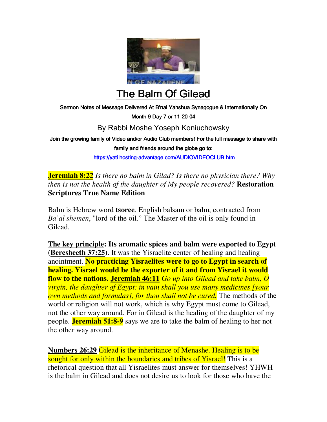

The Balm Of Gilead

Sermon Notes of Message Delivered At B'nai Yahshua Synagogue & Internationally On

Month 9 Day 7 or 11-20-04

## By Rabbi Moshe Yoseph Koniuchowsky

Join the growing family of Video and/or Audio Club members! For the full message to share with family and friends around the globe go to:

https://yati.hosting-advantage.com/AUDIOVIDEOCLUB.htm

**Jeremiah 8:22** *Is there no balm in Gilad? Is there no physician there? Why then is not the health of the daughter of My people recovered?* **Restoration Scriptures True Name Edition**

Balm is Hebrew word **tsoree**. English balsam or balm, contracted from *Ba`al shemen*, "lord of the oil." The Master of the oil is only found in Gilead.

**The key principle: Its aromatic spices and balm were exported to Egypt (Beresheeth 37:25)**. It was the Yisraelite center of healing and healing anointment. **No practicing Yisraelites were to go to Egypt in search of healing. Yisrael would be the exporter of it and from Yisrael it would flow to the nations. Jeremiah 46:11** *Go up into Gilead and take balm, O virgin, the daughter of Egypt: in vain shall you use many medicines [your own methods and formulas], for thou shall not be cured.* The methods of the world or religion will not work, which is why Egypt must come to Gilead, not the other way around. For in Gilead is the healing of the daughter of my people. **Jeremiah 51:8-9** says we are to take the balm of healing to her not the other way around.

**Numbers 26:29** Gilead is the inheritance of Menashe. Healing is to be sought for only within the boundaries and tribes of Yisrael! This is a rhetorical question that all Yisraelites must answer for themselves! YHWH is the balm in Gilead and does not desire us to look for those who have the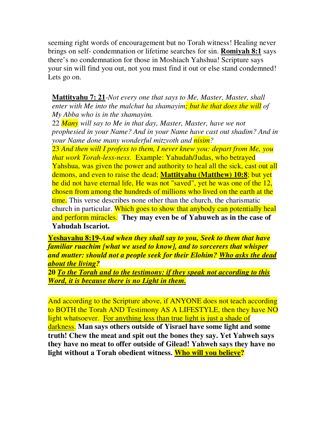seeming right words of encouragement but no Torah witness! Healing never brings on self- condemnation or lifetime searches for sin. **Romiyah 8:1** says there's no condemnation for those in Moshiach Yahshua! Scripture says your sin will find you out, not you must find it out or else stand condemned! Lets go on.

**Mattityahu 7: 21**-*Not every one that says to Me, Master, Master, shall enter with Me into the malchut ha shamayim; but he that does the will of My Abba who is in the shamayim.* 

22 *Many will say to Me in that day, Master, Master, have we not prophesied in your Name? And in your Name have cast out shadim? And in your Name done many wonderful mitzvoth and nisim?* 

23 *And then will I profess to them, I never knew you: depart from Me, you that work Torah-less-ness.* Example: Yahudah/Judas, who betrayed Yahshua, was given the power and authority to heal all the sick, cast out all demons, and even to raise the dead; **Mattityahu (Matthew) 10:8**; but yet he did not have eternal life, He was not "saved", yet he was one of the 12, chosen from among the hundreds of millions who lived on the earth at the time. This verse describes none other than the church, the charismatic church in particular. Which goes to show that anybody can potentially heal and perform miracles. **They may even be of Yahuweh as in the case of Yahudah Iscariot.** 

**Yeshayahu 8:19***-And when they shall say to you, Seek to them that have familiar ruachim [what we used to know], and to sorcerers that whisper and mutter: should not a people seek for their Elohim? Who asks the dead about the living?* 

**20** *To the Torah and to the testimony: if they speak not according to this Word, it is because there is no Light in them.*

And according to the Scripture above, if ANYONE does not teach according to BOTH the Torah AND Testimony AS A LIFESTYLE, then they have NO light whatsoever. For anything less than true light is just a shade of darkness. **Man says others outside of Yisrael have some light and some truth! Chew the meat and spit out the bones they say. Yet Yahweh says they have no meat to offer outside of Gilead! Yahweh says they have no light without a Torah obedient witness. Who will you believe?**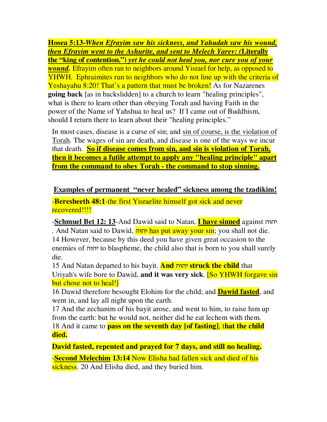**Hosea 5:13-***When Efrayim saw his sickness, and Yahudah saw his wound, then Efrayim went to the Ashurite, and sent to Melech Yarev: (***Literally the "king of contention.")** *yet he could not heal you, nor cure you of your wound.* Efrayim often ran to neighbors around Yisrael for help, as opposed to YHWH.Ephraimites run to neighbors who do not line up with the criteria of Yeshayahu 8:20! That's a pattern that must be broken! As for Nazarenes **going back** [as in backslidden] to a church to learn "healing principles", what is there to learn other than obeying Torah and having Faith in the power of the Name of Yahshua to heal us? If I came out of Buddhism, should I return there to learn about their "healing principles."

In most cases, disease is a curse of sin; and sin of course, is the violation of Torah. The wages of sin are death, and disease is one of the ways we incur that death. **So if disease comes from sin, and sin is violation of Torah, then it becomes a futile attempt to apply any "healing principle" apart from the command to obey Torah - the command to stop sinning.**

## **Examples of permanent "never healed" sickness among the tzadikim!**

-**Beresheeth 48:1**-the first Yisraelite himself got sick and never recovered!!!!

-**Schmuel Bet 12: 13**-And Dawid said to Natan, **I have sinned** against vuvh . And Natan said to Dawid, יהוה has put away your sin; you shall not die. 14 However, because by this deed you have given great occasion to the enemies of vuvh to blaspheme, the child also that is born to you shall surely die.

15 And Natan departed to his bayit. **And** vuvh **struck the child** that Uriyah's wife bore to Dawid, **and it was very sick**. [So YHWH forgave sin but chose not to heal!]

16 Dawid therefore besought Elohim for the child; and **Dawid fasted**, and went in, and lay all night upon the earth.

17 And the zechanim of his bayit arose, and went to him, to raise him up from the earth: but he would not, neither did he eat lechem with them. 18 And it came to **pass on the seventh day [of fasting]**, t**hat the child died.** 

**David fasted, repented and prayed for 7 days, and still no healing.**  -**Second Melechim 13:14** Now Elisha had fallen sick and died of his sickness. 20 And Elisha died, and they buried him.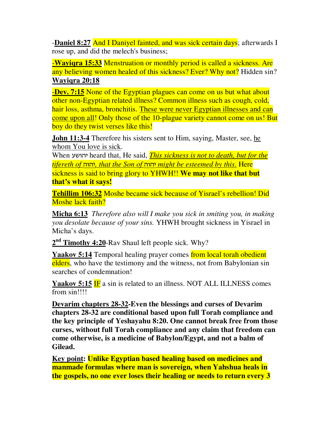-**Daniel 8:27** And I Daniyel fainted, and was sick certain days; afterwards I rose up, and did the melech's business;

-**Wayiqra 15:33** Menstruation or monthly period is called a sickness. Are any believing women healed of this sickness? Ever? Why not? Hidden sin? **Wayiqra 20:18**

-**Dev. 7:15** None of the Egyptian plagues can come on us but what about other non-Egyptian related illness? Common illness such as cough, cold, hair loss, asthma, bronchitis. These were never Egyptian illnesses and can come upon all! Only those of the 10-plague variety cannot come on us! But boy do they twist verses like this!

**John 11:3-4** Therefore his sisters sent to Him, saying, Master, see, he whom You love is sick.

When gauvh heard that, He said, *This sickness is not to death, but for the tifereth of* vuvh*, that the Son of* vuvh *might be esteemed by this.* Here sickness is said to bring glory to YHWH!! **We may not like that but that's what it says!** 

**Tehillim 106:32** Moshe became sick because of Yisrael's rebellion! Did Moshe lack faith?

**Micha 6:13** *Therefore also will I make you sick in smiting you, in making you desolate because of your sins.* YHWH brought sickness in Yisrael in Micha's days.

2<sup>nd</sup> Timothy 4:20-Rav Shaul left people sick. Why?

**Yaakov 5:14** Temporal healing prayer comes from local torah obedient elders, who have the testimony and the witness, not from Babylonian sin searches of condemnation!

**Yaakov 5:15 IF** a sin is related to an illness. NOT ALL ILLNESS comes from sin!!!!

**Devarim chapters 28-32-Even the blessings and curses of Devarim chapters 28-32 are conditional based upon full Torah compliance and the key principle of Yeshayahu 8:20. One cannot break free from those curses, without full Torah compliance and any claim that freedom can come otherwise, is a medicine of Babylon/Egypt, and not a balm of Gilead.**

**Key point: Unlike Egyptian based healing based on medicines and manmade formulas where man is sovereign, when Yahshua heals in the gospels, no one ever loses their healing or needs to return every 3**